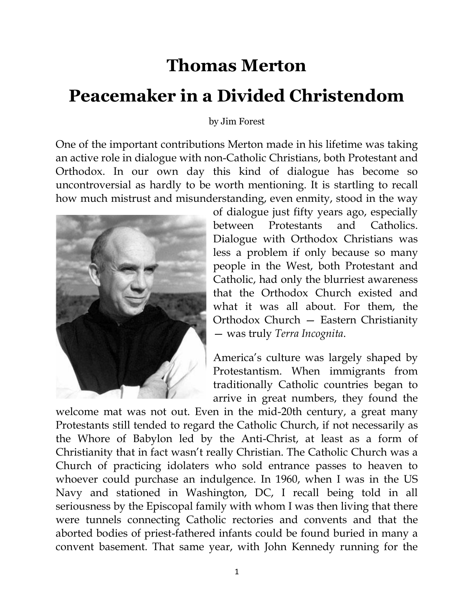## **Thomas Merton Peacemaker in a Divided Christendom**

by Jim Forest

One of the important contributions Merton made in his lifetime was taking an active role in dialogue with non-Catholic Christians, both Protestant and Orthodox. In our own day this kind of dialogue has become so uncontroversial as hardly to be worth mentioning. It is startling to recall how much mistrust and misunderstanding, even enmity, stood in the way



of dialogue just fifty years ago, especially between Protestants and Catholics. Dialogue with Orthodox Christians was less a problem if only because so many people in the West, both Protestant and Catholic, had only the blurriest awareness that the Orthodox Church existed and what it was all about. For them, the Orthodox Church — Eastern Christianity — was truly *Terra Incognita*.

America's culture was largely shaped by Protestantism. When immigrants from traditionally Catholic countries began to arrive in great numbers, they found the

welcome mat was not out. Even in the mid-20th century, a great many Protestants still tended to regard the Catholic Church, if not necessarily as the Whore of Babylon led by the Anti-Christ, at least as a form of Christianity that in fact wasn't really Christian. The Catholic Church was a Church of practicing idolaters who sold entrance passes to heaven to whoever could purchase an indulgence. In 1960, when I was in the US Navy and stationed in Washington, DC, I recall being told in all seriousness by the Episcopal family with whom I was then living that there were tunnels connecting Catholic rectories and convents and that the aborted bodies of priest-fathered infants could be found buried in many a convent basement. That same year, with John Kennedy running for the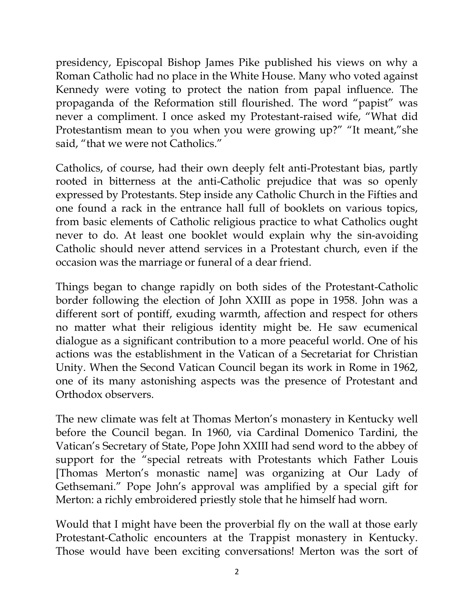presidency, Episcopal Bishop James Pike published his views on why a Roman Catholic had no place in the White House. Many who voted against Kennedy were voting to protect the nation from papal influence. The propaganda of the Reformation still flourished. The word "papist" was never a compliment. I once asked my Protestant-raised wife, "What did Protestantism mean to you when you were growing up?" "It meant,"she said, "that we were not Catholics."

Catholics, of course, had their own deeply felt anti-Protestant bias, partly rooted in bitterness at the anti-Catholic prejudice that was so openly expressed by Protestants. Step inside any Catholic Church in the Fifties and one found a rack in the entrance hall full of booklets on various topics, from basic elements of Catholic religious practice to what Catholics ought never to do. At least one booklet would explain why the sin-avoiding Catholic should never attend services in a Protestant church, even if the occasion was the marriage or funeral of a dear friend.

Things began to change rapidly on both sides of the Protestant-Catholic border following the election of John XXIII as pope in 1958. John was a different sort of pontiff, exuding warmth, affection and respect for others no matter what their religious identity might be. He saw ecumenical dialogue as a significant contribution to a more peaceful world. One of his actions was the establishment in the Vatican of a Secretariat for Christian Unity. When the Second Vatican Council began its work in Rome in 1962, one of its many astonishing aspects was the presence of Protestant and Orthodox observers.

The new climate was felt at Thomas Merton's monastery in Kentucky well before the Council began. In 1960, via Cardinal Domenico Tardini, the Vatican's Secretary of State, Pope John XXIII had send word to the abbey of support for the "special retreats with Protestants which Father Louis [Thomas Merton's monastic name] was organizing at Our Lady of Gethsemani." Pope John's approval was amplified by a special gift for Merton: a richly embroidered priestly stole that he himself had worn.

Would that I might have been the proverbial fly on the wall at those early Protestant-Catholic encounters at the Trappist monastery in Kentucky. Those would have been exciting conversations! Merton was the sort of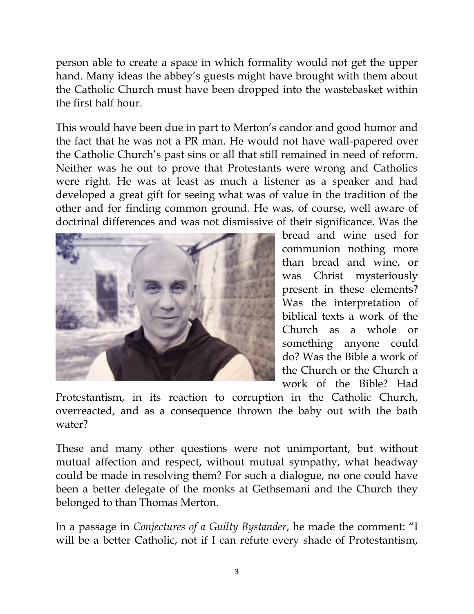person able to create a space in which formality would not get the upper hand. Many ideas the abbey's guests might have brought with them about the Catholic Church must have been dropped into the wastebasket within the first half hour.

This would have been due in part to Merton's candor and good humor and the fact that he was not a PR man. He would not have wall-papered over the Catholic Church's past sins or all that still remained in need of reform. Neither was he out to prove that Protestants were wrong and Catholics were right. He was at least as much a listener as a speaker and had developed a great gift for seeing what was of value in the tradition of the other and for finding common ground. He was, of course, well aware of doctrinal differences and was not dismissive of their significance. Was the



bread and wine used for communion nothing more than bread and wine, or was Christ mysteriously present in these elements? Was the interpretation of biblical texts a work of the Church as a whole or something anyone could do? Was the Bible a work of the Church or the Church a work of the Bible? Had

Protestantism, in its reaction to corruption in the Catholic Church, overreacted, and as a consequence thrown the baby out with the bath water?

These and many other questions were not unimportant, but without mutual affection and respect, without mutual sympathy, what headway could be made in resolving them? For such a dialogue, no one could have been a better delegate of the monks at Gethsemani and the Church they belonged to than Thomas Merton.

In a passage in *Conjectures of a Guilty Bystander*, he made the comment: "I will be a better Catholic, not if I can refute every shade of Protestantism,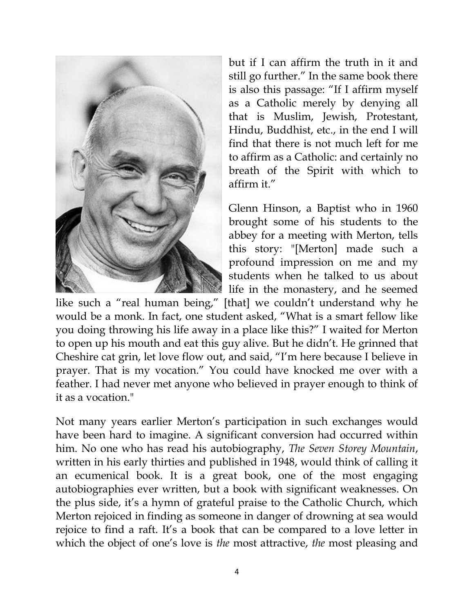

but if I can affirm the truth in it and still go further." In the same book there is also this passage: "If I affirm myself as a Catholic merely by denying all that is Muslim, Jewish, Protestant, Hindu, Buddhist, etc., in the end I will find that there is not much left for me to affirm as a Catholic: and certainly no breath of the Spirit with which to affirm it."

Glenn Hinson, a Baptist who in 1960 brought some of his students to the abbey for a meeting with Merton, tells this story: "[Merton] made such a profound impression on me and my students when he talked to us about life in the monastery, and he seemed

like such a "real human being," [that] we couldn't understand why he would be a monk. In fact, one student asked, "What is a smart fellow like you doing throwing his life away in a place like this?" I waited for Merton to open up his mouth and eat this guy alive. But he didn't. He grinned that Cheshire cat grin, let love flow out, and said, "I'm here because I believe in prayer. That is my vocation." You could have knocked me over with a feather. I had never met anyone who believed in prayer enough to think of it as a vocation."

Not many years earlier Merton's participation in such exchanges would have been hard to imagine. A significant conversion had occurred within him. No one who has read his autobiography, *The Seven Storey Mountain*, written in his early thirties and published in 1948, would think of calling it an ecumenical book. It is a great book, one of the most engaging autobiographies ever written, but a book with significant weaknesses. On the plus side, it's a hymn of grateful praise to the Catholic Church, which Merton rejoiced in finding as someone in danger of drowning at sea would rejoice to find a raft. It's a book that can be compared to a love letter in which the object of one's love is *the* most attractive, *the* most pleasing and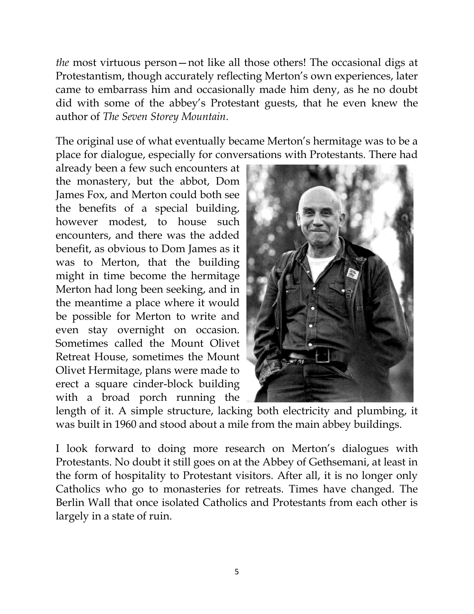*the* most virtuous person—not like all those others! The occasional digs at Protestantism, though accurately reflecting Merton's own experiences, later came to embarrass him and occasionally made him deny, as he no doubt did with some of the abbey's Protestant guests, that he even knew the author of *The Seven Storey Mountain*.

The original use of what eventually became Merton's hermitage was to be a place for dialogue, especially for conversations with Protestants. There had

already been a few such encounters at the monastery, but the abbot, Dom James Fox, and Merton could both see the benefits of a special building, however modest, to house such encounters, and there was the added benefit, as obvious to Dom James as it was to Merton, that the building might in time become the hermitage Merton had long been seeking, and in the meantime a place where it would be possible for Merton to write and even stay overnight on occasion. Sometimes called the Mount Olivet Retreat House, sometimes the Mount Olivet Hermitage, plans were made to erect a square cinder-block building with a broad porch running the



length of it. A simple structure, lacking both electricity and plumbing, it was built in 1960 and stood about a mile from the main abbey buildings.

I look forward to doing more research on Merton's dialogues with Protestants. No doubt it still goes on at the Abbey of Gethsemani, at least in the form of hospitality to Protestant visitors. After all, it is no longer only Catholics who go to monasteries for retreats. Times have changed. The Berlin Wall that once isolated Catholics and Protestants from each other is largely in a state of ruin.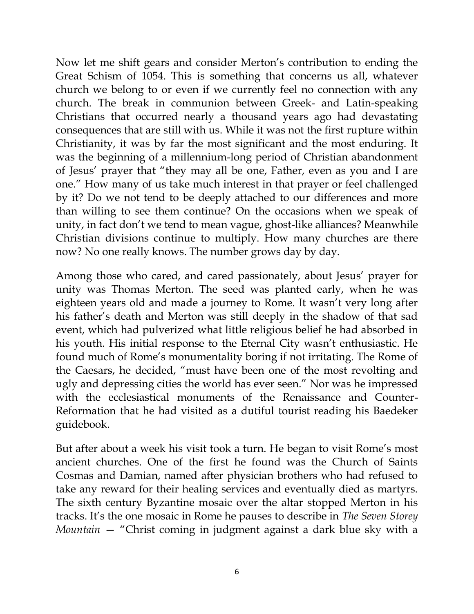Now let me shift gears and consider Merton's contribution to ending the Great Schism of 1054. This is something that concerns us all, whatever church we belong to or even if we currently feel no connection with any church. The break in communion between Greek- and Latin-speaking Christians that occurred nearly a thousand years ago had devastating consequences that are still with us. While it was not the first rupture within Christianity, it was by far the most significant and the most enduring. It was the beginning of a millennium-long period of Christian abandonment of Jesus' prayer that "they may all be one, Father, even as you and I are one." How many of us take much interest in that prayer or feel challenged by it? Do we not tend to be deeply attached to our differences and more than willing to see them continue? On the occasions when we speak of unity, in fact don't we tend to mean vague, ghost-like alliances? Meanwhile Christian divisions continue to multiply. How many churches are there now? No one really knows. The number grows day by day.

Among those who cared, and cared passionately, about Jesus' prayer for unity was Thomas Merton. The seed was planted early, when he was eighteen years old and made a journey to Rome. It wasn't very long after his father's death and Merton was still deeply in the shadow of that sad event, which had pulverized what little religious belief he had absorbed in his youth. His initial response to the Eternal City wasn't enthusiastic. He found much of Rome's monumentality boring if not irritating. The Rome of the Caesars, he decided, "must have been one of the most revolting and ugly and depressing cities the world has ever seen." Nor was he impressed with the ecclesiastical monuments of the Renaissance and Counter-Reformation that he had visited as a dutiful tourist reading his Baedeker guidebook.

But after about a week his visit took a turn. He began to visit Rome's most ancient churches. One of the first he found was the Church of Saints Cosmas and Damian, named after physician brothers who had refused to take any reward for their healing services and eventually died as martyrs. The sixth century Byzantine mosaic over the altar stopped Merton in his tracks. It's the one mosaic in Rome he pauses to describe in *The Seven Storey Mountain* — "Christ coming in judgment against a dark blue sky with a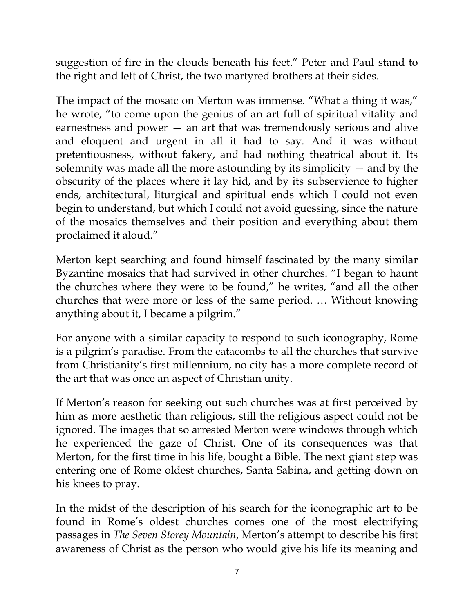suggestion of fire in the clouds beneath his feet." Peter and Paul stand to the right and left of Christ, the two martyred brothers at their sides.

The impact of the mosaic on Merton was immense. "What a thing it was," he wrote, "to come upon the genius of an art full of spiritual vitality and earnestness and power — an art that was tremendously serious and alive and eloquent and urgent in all it had to say. And it was without pretentiousness, without fakery, and had nothing theatrical about it. Its solemnity was made all the more astounding by its simplicity — and by the obscurity of the places where it lay hid, and by its subservience to higher ends, architectural, liturgical and spiritual ends which I could not even begin to understand, but which I could not avoid guessing, since the nature of the mosaics themselves and their position and everything about them proclaimed it aloud."

Merton kept searching and found himself fascinated by the many similar Byzantine mosaics that had survived in other churches. "I began to haunt the churches where they were to be found," he writes, "and all the other churches that were more or less of the same period. … Without knowing anything about it, I became a pilgrim."

For anyone with a similar capacity to respond to such iconography, Rome is a pilgrim's paradise. From the catacombs to all the churches that survive from Christianity's first millennium, no city has a more complete record of the art that was once an aspect of Christian unity.

If Merton's reason for seeking out such churches was at first perceived by him as more aesthetic than religious, still the religious aspect could not be ignored. The images that so arrested Merton were windows through which he experienced the gaze of Christ. One of its consequences was that Merton, for the first time in his life, bought a Bible. The next giant step was entering one of Rome oldest churches, Santa Sabina, and getting down on his knees to pray.

In the midst of the description of his search for the iconographic art to be found in Rome's oldest churches comes one of the most electrifying passages in *The Seven Storey Mountain*, Merton's attempt to describe his first awareness of Christ as the person who would give his life its meaning and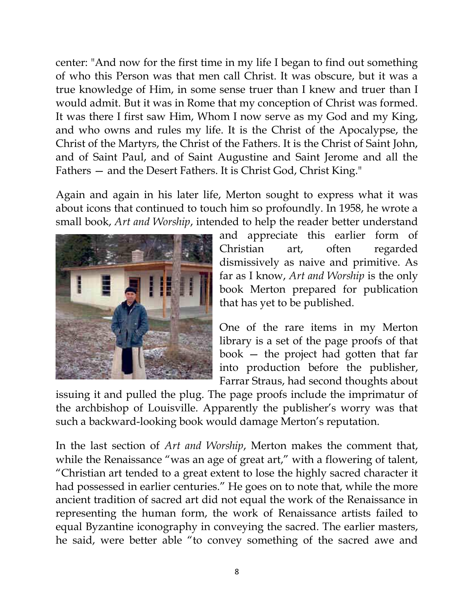center: "And now for the first time in my life I began to find out something of who this Person was that men call Christ. It was obscure, but it was a true knowledge of Him, in some sense truer than I knew and truer than I would admit. But it was in Rome that my conception of Christ was formed. It was there I first saw Him, Whom I now serve as my God and my King, and who owns and rules my life. It is the Christ of the Apocalypse, the Christ of the Martyrs, the Christ of the Fathers. It is the Christ of Saint John, and of Saint Paul, and of Saint Augustine and Saint Jerome and all the Fathers — and the Desert Fathers. It is Christ God, Christ King."

Again and again in his later life, Merton sought to express what it was about icons that continued to touch him so profoundly. In 1958, he wrote a small book, *Art and Worship*, intended to help the reader better understand



and appreciate this earlier form of Christian art, often regarded dismissively as naive and primitive. As far as I know, *Art and Worship* is the only book Merton prepared for publication that has yet to be published.

One of the rare items in my Merton library is a set of the page proofs of that book — the project had gotten that far into production before the publisher, Farrar Straus, had second thoughts about

issuing it and pulled the plug. The page proofs include the imprimatur of the archbishop of Louisville. Apparently the publisher's worry was that such a backward-looking book would damage Merton's reputation.

In the last section of *Art and Worship*, Merton makes the comment that, while the Renaissance "was an age of great art," with a flowering of talent, "Christian art tended to a great extent to lose the highly sacred character it had possessed in earlier centuries." He goes on to note that, while the more ancient tradition of sacred art did not equal the work of the Renaissance in representing the human form, the work of Renaissance artists failed to equal Byzantine iconography in conveying the sacred. The earlier masters, he said, were better able "to convey something of the sacred awe and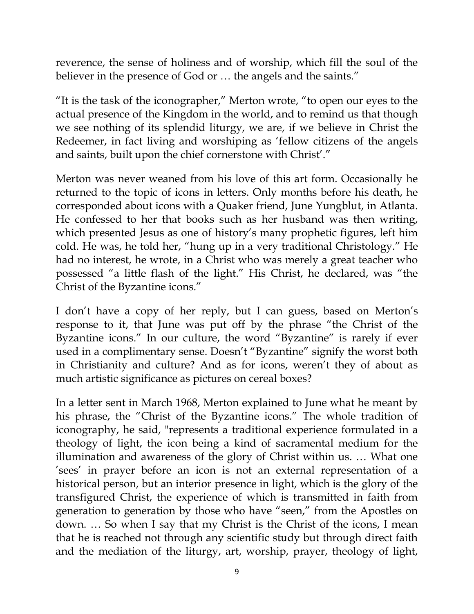reverence, the sense of holiness and of worship, which fill the soul of the believer in the presence of God or ... the angels and the saints."

"It is the task of the iconographer," Merton wrote, "to open our eyes to the actual presence of the Kingdom in the world, and to remind us that though we see nothing of its splendid liturgy, we are, if we believe in Christ the Redeemer, in fact living and worshiping as 'fellow citizens of the angels and saints, built upon the chief cornerstone with Christ'."

Merton was never weaned from his love of this art form. Occasionally he returned to the topic of icons in letters. Only months before his death, he corresponded about icons with a Quaker friend, June Yungblut, in Atlanta. He confessed to her that books such as her husband was then writing, which presented Jesus as one of history's many prophetic figures, left him cold. He was, he told her, "hung up in a very traditional Christology." He had no interest, he wrote, in a Christ who was merely a great teacher who possessed "a little flash of the light." His Christ, he declared, was "the Christ of the Byzantine icons."

I don't have a copy of her reply, but I can guess, based on Merton's response to it, that June was put off by the phrase "the Christ of the Byzantine icons." In our culture, the word "Byzantine" is rarely if ever used in a complimentary sense. Doesn't "Byzantine" signify the worst both in Christianity and culture? And as for icons, weren't they of about as much artistic significance as pictures on cereal boxes?

In a letter sent in March 1968, Merton explained to June what he meant by his phrase, the "Christ of the Byzantine icons." The whole tradition of iconography, he said, "represents a traditional experience formulated in a theology of light, the icon being a kind of sacramental medium for the illumination and awareness of the glory of Christ within us. … What one 'sees' in prayer before an icon is not an external representation of a historical person, but an interior presence in light, which is the glory of the transfigured Christ, the experience of which is transmitted in faith from generation to generation by those who have "seen," from the Apostles on down. … So when I say that my Christ is the Christ of the icons, I mean that he is reached not through any scientific study but through direct faith and the mediation of the liturgy, art, worship, prayer, theology of light,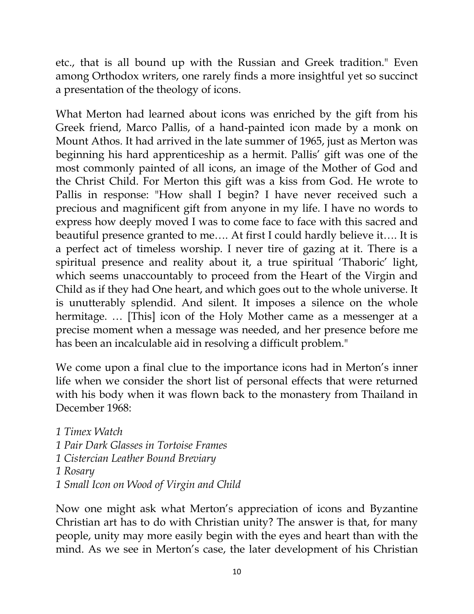etc., that is all bound up with the Russian and Greek tradition." Even among Orthodox writers, one rarely finds a more insightful yet so succinct a presentation of the theology of icons.

What Merton had learned about icons was enriched by the gift from his Greek friend, Marco Pallis, of a hand-painted icon made by a monk on Mount Athos. It had arrived in the late summer of 1965, just as Merton was beginning his hard apprenticeship as a hermit. Pallis' gift was one of the most commonly painted of all icons, an image of the Mother of God and the Christ Child. For Merton this gift was a kiss from God. He wrote to Pallis in response: "How shall I begin? I have never received such a precious and magnificent gift from anyone in my life. I have no words to express how deeply moved I was to come face to face with this sacred and beautiful presence granted to me…. At first I could hardly believe it…. It is a perfect act of timeless worship. I never tire of gazing at it. There is a spiritual presence and reality about it, a true spiritual 'Thaboric' light, which seems unaccountably to proceed from the Heart of the Virgin and Child as if they had One heart, and which goes out to the whole universe. It is unutterably splendid. And silent. It imposes a silence on the whole hermitage. … [This] icon of the Holy Mother came as a messenger at a precise moment when a message was needed, and her presence before me has been an incalculable aid in resolving a difficult problem."

We come upon a final clue to the importance icons had in Merton's inner life when we consider the short list of personal effects that were returned with his body when it was flown back to the monastery from Thailand in December 1968:

*1 Timex Watch 1 Pair Dark Glasses in Tortoise Frames 1 Cistercian Leather Bound Breviary 1 Rosary 1 Small Icon on Wood of Virgin and Child*

Now one might ask what Merton's appreciation of icons and Byzantine Christian art has to do with Christian unity? The answer is that, for many people, unity may more easily begin with the eyes and heart than with the mind. As we see in Merton's case, the later development of his Christian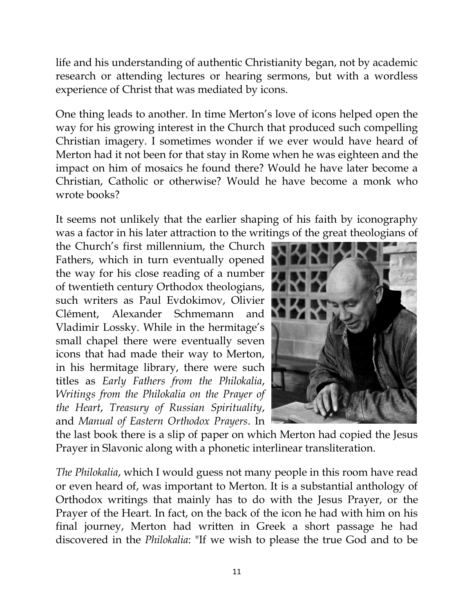life and his understanding of authentic Christianity began, not by academic research or attending lectures or hearing sermons, but with a wordless experience of Christ that was mediated by icons.

One thing leads to another. In time Merton's love of icons helped open the way for his growing interest in the Church that produced such compelling Christian imagery. I sometimes wonder if we ever would have heard of Merton had it not been for that stay in Rome when he was eighteen and the impact on him of mosaics he found there? Would he have later become a Christian, Catholic or otherwise? Would he have become a monk who wrote books?

It seems not unlikely that the earlier shaping of his faith by iconography was a factor in his later attraction to the writings of the great theologians of

the Church's first millennium, the Church Fathers, which in turn eventually opened the way for his close reading of a number of twentieth century Orthodox theologians, such writers as Paul Evdokimov, Olivier Clément, Alexander Schmemann and Vladimir Lossky. While in the hermitage's small chapel there were eventually seven icons that had made their way to Merton, in his hermitage library, there were such titles as *Early Fathers from the Philokalia*, *Writings from the Philokalia on the Prayer of the Heart*, *Treasury of Russian Spirituality*, and *Manual of Eastern Orthodox Prayers*. In



the last book there is a slip of paper on which Merton had copied the Jesus Prayer in Slavonic along with a phonetic interlinear transliteration.

*The Philokalia*, which I would guess not many people in this room have read or even heard of, was important to Merton. It is a substantial anthology of Orthodox writings that mainly has to do with the Jesus Prayer, or the Prayer of the Heart. In fact, on the back of the icon he had with him on his final journey, Merton had written in Greek a short passage he had discovered in the *Philokalia*: "If we wish to please the true God and to be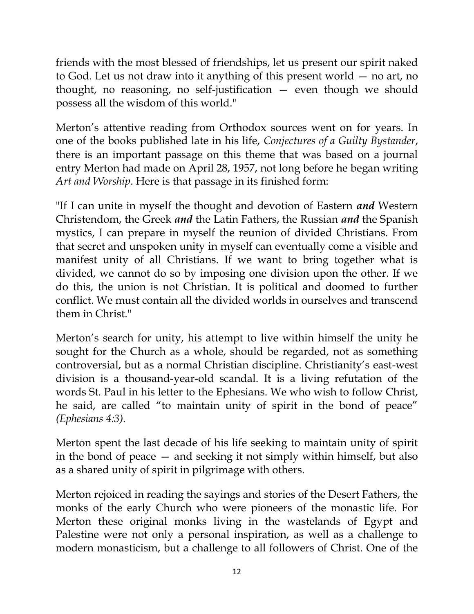friends with the most blessed of friendships, let us present our spirit naked to God. Let us not draw into it anything of this present world — no art, no thought, no reasoning, no self-justification — even though we should possess all the wisdom of this world."

Merton's attentive reading from Orthodox sources went on for years. In one of the books published late in his life, *Conjectures of a Guilty Bystander*, there is an important passage on this theme that was based on a journal entry Merton had made on April 28, 1957, not long before he began writing *Art and Worship*. Here is that passage in its finished form:

"If I can unite in myself the thought and devotion of Eastern *and* Western Christendom, the Greek *and* the Latin Fathers, the Russian *and* the Spanish mystics, I can prepare in myself the reunion of divided Christians. From that secret and unspoken unity in myself can eventually come a visible and manifest unity of all Christians. If we want to bring together what is divided, we cannot do so by imposing one division upon the other. If we do this, the union is not Christian. It is political and doomed to further conflict. We must contain all the divided worlds in ourselves and transcend them in Christ."

Merton's search for unity, his attempt to live within himself the unity he sought for the Church as a whole, should be regarded, not as something controversial, but as a normal Christian discipline. Christianity's east-west division is a thousand-year-old scandal. It is a living refutation of the words St. Paul in his letter to the Ephesians. We who wish to follow Christ, he said, are called "to maintain unity of spirit in the bond of peace" *(Ephesians 4:3).*

Merton spent the last decade of his life seeking to maintain unity of spirit in the bond of peace — and seeking it not simply within himself, but also as a shared unity of spirit in pilgrimage with others.

Merton rejoiced in reading the sayings and stories of the Desert Fathers, the monks of the early Church who were pioneers of the monastic life. For Merton these original monks living in the wastelands of Egypt and Palestine were not only a personal inspiration, as well as a challenge to modern monasticism, but a challenge to all followers of Christ. One of the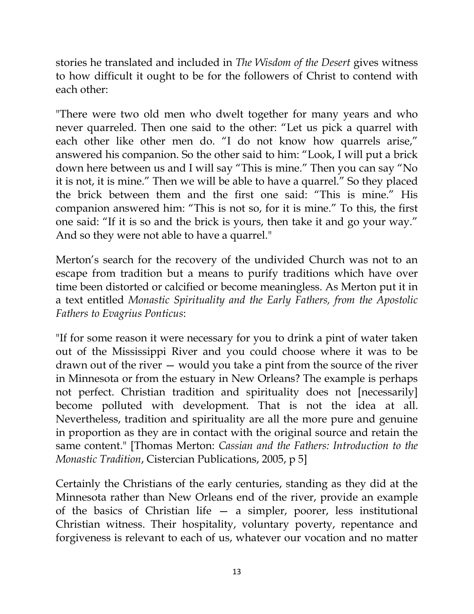stories he translated and included in *The Wisdom of the Desert* gives witness to how difficult it ought to be for the followers of Christ to contend with each other:

"There were two old men who dwelt together for many years and who never quarreled. Then one said to the other: "Let us pick a quarrel with each other like other men do. "I do not know how quarrels arise," answered his companion. So the other said to him: "Look, I will put a brick down here between us and I will say "This is mine." Then you can say "No it is not, it is mine." Then we will be able to have a quarrel." So they placed the brick between them and the first one said: "This is mine." His companion answered him: "This is not so, for it is mine." To this, the first one said: "If it is so and the brick is yours, then take it and go your way." And so they were not able to have a quarrel."

Merton's search for the recovery of the undivided Church was not to an escape from tradition but a means to purify traditions which have over time been distorted or calcified or become meaningless. As Merton put it in a text entitled *Monastic Spirituality and the Early Fathers, from the Apostolic Fathers to Evagrius Ponticus*:

"If for some reason it were necessary for you to drink a pint of water taken out of the Mississippi River and you could choose where it was to be drawn out of the river — would you take a pint from the source of the river in Minnesota or from the estuary in New Orleans? The example is perhaps not perfect. Christian tradition and spirituality does not [necessarily] become polluted with development. That is not the idea at all. Nevertheless, tradition and spirituality are all the more pure and genuine in proportion as they are in contact with the original source and retain the same content." [Thomas Merton: *Cassian and the Fathers: Introduction to the Monastic Tradition*, Cistercian Publications, 2005, p 5]

Certainly the Christians of the early centuries, standing as they did at the Minnesota rather than New Orleans end of the river, provide an example of the basics of Christian life — a simpler, poorer, less institutional Christian witness. Their hospitality, voluntary poverty, repentance and forgiveness is relevant to each of us, whatever our vocation and no matter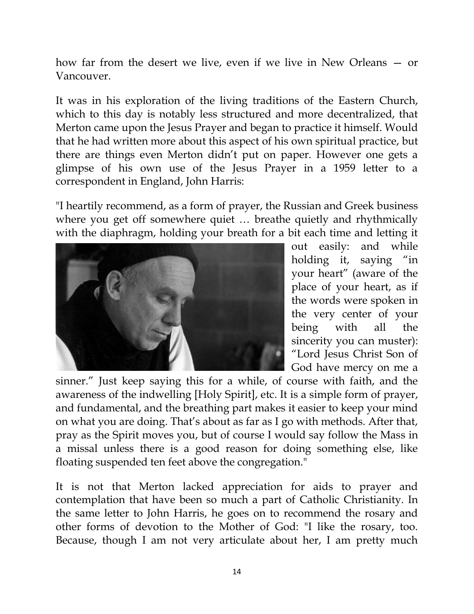how far from the desert we live, even if we live in New Orleans — or Vancouver.

It was in his exploration of the living traditions of the Eastern Church, which to this day is notably less structured and more decentralized, that Merton came upon the Jesus Prayer and began to practice it himself. Would that he had written more about this aspect of his own spiritual practice, but there are things even Merton didn't put on paper. However one gets a glimpse of his own use of the Jesus Prayer in a 1959 letter to a correspondent in England, John Harris:

"I heartily recommend, as a form of prayer, the Russian and Greek business where you get off somewhere quiet ... breathe quietly and rhythmically with the diaphragm, holding your breath for a bit each time and letting it



out easily: and while holding it, saying "in your heart" (aware of the place of your heart, as if the words were spoken in the very center of your being with all the sincerity you can muster): "Lord Jesus Christ Son of God have mercy on me a

sinner." Just keep saying this for a while, of course with faith, and the awareness of the indwelling [Holy Spirit], etc. It is a simple form of prayer, and fundamental, and the breathing part makes it easier to keep your mind on what you are doing. That's about as far as I go with methods. After that, pray as the Spirit moves you, but of course I would say follow the Mass in a missal unless there is a good reason for doing something else, like floating suspended ten feet above the congregation."

It is not that Merton lacked appreciation for aids to prayer and contemplation that have been so much a part of Catholic Christianity. In the same letter to John Harris, he goes on to recommend the rosary and other forms of devotion to the Mother of God: "I like the rosary, too. Because, though I am not very articulate about her, I am pretty much